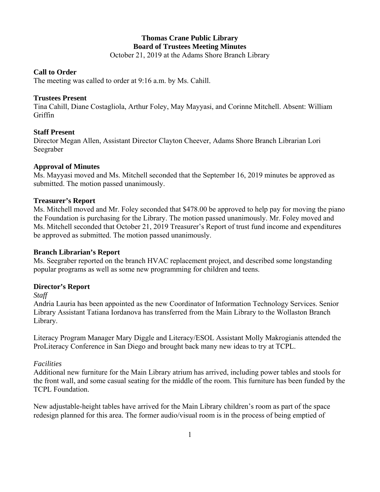# **Thomas Crane Public Library Board of Trustees Meeting Minutes**

October 21, 2019 at the Adams Shore Branch Library

#### **Call to Order**

The meeting was called to order at 9:16 a.m. by Ms. Cahill.

#### **Trustees Present**

Tina Cahill, Diane Costagliola, Arthur Foley, May Mayyasi, and Corinne Mitchell. Absent: William Griffin

# **Staff Present**

Director Megan Allen, Assistant Director Clayton Cheever, Adams Shore Branch Librarian Lori Seegraber

# **Approval of Minutes**

Ms. Mayyasi moved and Ms. Mitchell seconded that the September 16, 2019 minutes be approved as submitted. The motion passed unanimously.

# **Treasurer's Report**

Ms. Mitchell moved and Mr. Foley seconded that \$478.00 be approved to help pay for moving the piano the Foundation is purchasing for the Library. The motion passed unanimously. Mr. Foley moved and Ms. Mitchell seconded that October 21, 2019 Treasurer's Report of trust fund income and expenditures be approved as submitted. The motion passed unanimously.

#### **Branch Librarian's Report**

Ms. Seegraber reported on the branch HVAC replacement project, and described some longstanding popular programs as well as some new programming for children and teens.

#### **Director's Report**

*Staff* 

Andria Lauria has been appointed as the new Coordinator of Information Technology Services. Senior Library Assistant Tatiana Iordanova has transferred from the Main Library to the Wollaston Branch Library.

Literacy Program Manager Mary Diggle and Literacy/ESOL Assistant Molly Makrogianis attended the ProLiteracy Conference in San Diego and brought back many new ideas to try at TCPL.

#### *Facilities*

Additional new furniture for the Main Library atrium has arrived, including power tables and stools for the front wall, and some casual seating for the middle of the room. This furniture has been funded by the TCPL Foundation.

New adjustable-height tables have arrived for the Main Library children's room as part of the space redesign planned for this area. The former audio/visual room is in the process of being emptied of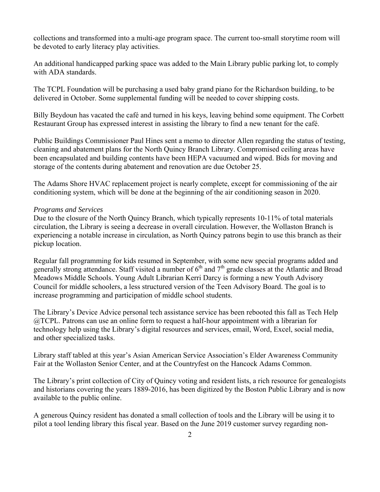collections and transformed into a multi-age program space. The current too-small storytime room will be devoted to early literacy play activities.

An additional handicapped parking space was added to the Main Library public parking lot, to comply with ADA standards.

The TCPL Foundation will be purchasing a used baby grand piano for the Richardson building, to be delivered in October. Some supplemental funding will be needed to cover shipping costs.

Billy Beydoun has vacated the café and turned in his keys, leaving behind some equipment. The Corbett Restaurant Group has expressed interest in assisting the library to find a new tenant for the café.

Public Buildings Commissioner Paul Hines sent a memo to director Allen regarding the status of testing, cleaning and abatement plans for the North Quincy Branch Library. Compromised ceiling areas have been encapsulated and building contents have been HEPA vacuumed and wiped. Bids for moving and storage of the contents during abatement and renovation are due October 25.

The Adams Shore HVAC replacement project is nearly complete, except for commissioning of the air conditioning system, which will be done at the beginning of the air conditioning season in 2020.

#### *Programs and Services*

Due to the closure of the North Quincy Branch, which typically represents 10-11% of total materials circulation, the Library is seeing a decrease in overall circulation. However, the Wollaston Branch is experiencing a notable increase in circulation, as North Quincy patrons begin to use this branch as their pickup location.

Regular fall programming for kids resumed in September, with some new special programs added and generally strong attendance. Staff visited a number of  $6<sup>th</sup>$  and  $7<sup>th</sup>$  grade classes at the Atlantic and Broad Meadows Middle Schools. Young Adult Librarian Kerri Darcy is forming a new Youth Advisory Council for middle schoolers, a less structured version of the Teen Advisory Board. The goal is to increase programming and participation of middle school students.

The Library's Device Advice personal tech assistance service has been rebooted this fall as Tech Help @TCPL. Patrons can use an online form to request a half-hour appointment with a librarian for technology help using the Library's digital resources and services, email, Word, Excel, social media, and other specialized tasks.

Library staff tabled at this year's Asian American Service Association's Elder Awareness Community Fair at the Wollaston Senior Center, and at the Countryfest on the Hancock Adams Common.

The Library's print collection of City of Quincy voting and resident lists, a rich resource for genealogists and historians covering the years 1889-2016, has been digitized by the Boston Public Library and is now available to the public online.

A generous Quincy resident has donated a small collection of tools and the Library will be using it to pilot a tool lending library this fiscal year. Based on the June 2019 customer survey regarding non